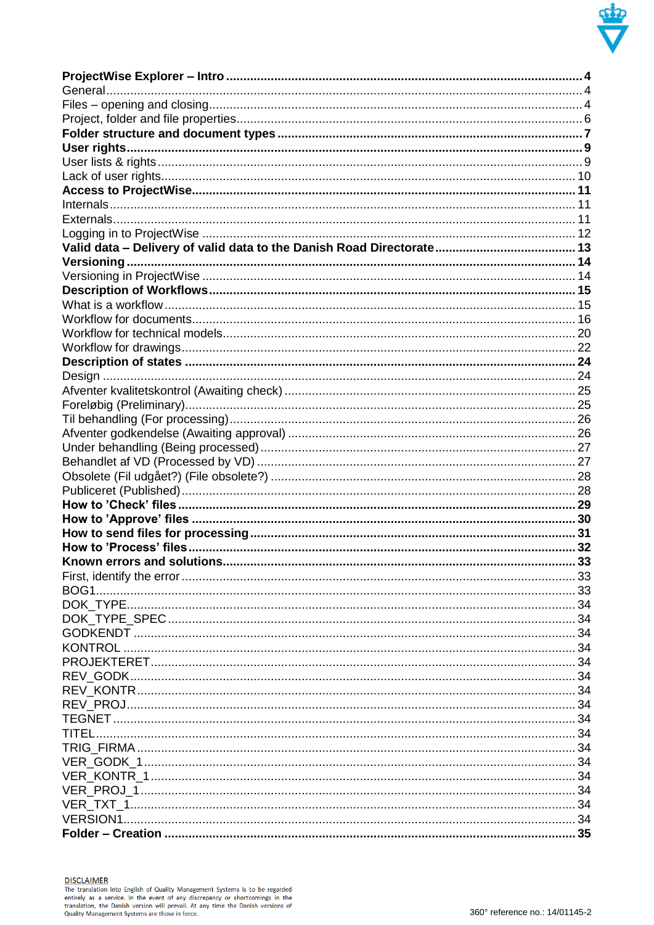

**DISCLAIMER**<br>The translation into English of Quality Management Systems is to be regarded<br>entirely as a service. In the event of any discrepancy or shortcomings in the<br>translation, the Danish version will prevail. At any t